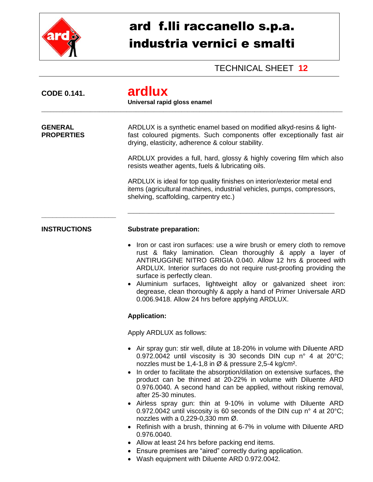

## ard f.lli raccanello s.p.a. industria vernici e smalti

## TECHNICAL SHEET **12**

| <b>CODE 0.141.</b>                  | ardlux<br>Universal rapid gloss enamel                                                                                                                                                                                                                                                                                                                                                                                                                                                                                                                                                                                                                                                                                                                                                                                                                                                                                                    |
|-------------------------------------|-------------------------------------------------------------------------------------------------------------------------------------------------------------------------------------------------------------------------------------------------------------------------------------------------------------------------------------------------------------------------------------------------------------------------------------------------------------------------------------------------------------------------------------------------------------------------------------------------------------------------------------------------------------------------------------------------------------------------------------------------------------------------------------------------------------------------------------------------------------------------------------------------------------------------------------------|
| <b>GENERAL</b><br><b>PROPERTIES</b> | ARDLUX is a synthetic enamel based on modified alkyd-resins & light-<br>fast coloured pigments. Such components offer exceptionally fast air<br>drying, elasticity, adherence & colour stability.                                                                                                                                                                                                                                                                                                                                                                                                                                                                                                                                                                                                                                                                                                                                         |
|                                     | ARDLUX provides a full, hard, glossy & highly covering film which also<br>resists weather agents, fuels & lubricating oils.                                                                                                                                                                                                                                                                                                                                                                                                                                                                                                                                                                                                                                                                                                                                                                                                               |
|                                     | ARDLUX is ideal for top quality finishes on interior/exterior metal end<br>items (agricultural machines, industrial vehicles, pumps, compressors,<br>shelving, scaffolding, carpentry etc.)                                                                                                                                                                                                                                                                                                                                                                                                                                                                                                                                                                                                                                                                                                                                               |
| <b>INSTRUCTIONS</b>                 | <b>Substrate preparation:</b>                                                                                                                                                                                                                                                                                                                                                                                                                                                                                                                                                                                                                                                                                                                                                                                                                                                                                                             |
|                                     | Iron or cast iron surfaces: use a wire brush or emery cloth to remove<br>rust & flaky lamination. Clean thoroughly & apply a layer of<br>ANTIRUGGINE NITRO GRIGIA 0.040. Allow 12 hrs & proceed with<br>ARDLUX. Interior surfaces do not require rust-proofing providing the<br>surface is perfectly clean.<br>Aluminium surfaces, lightweight alloy or galvanized sheet iron:<br>degrease, clean thoroughly & apply a hand of Primer Universale ARD<br>0.006.9418. Allow 24 hrs before applying ARDLUX.                                                                                                                                                                                                                                                                                                                                                                                                                                  |
|                                     | <b>Application:</b>                                                                                                                                                                                                                                                                                                                                                                                                                                                                                                                                                                                                                                                                                                                                                                                                                                                                                                                       |
|                                     | Apply ARDLUX as follows:                                                                                                                                                                                                                                                                                                                                                                                                                                                                                                                                                                                                                                                                                                                                                                                                                                                                                                                  |
|                                     | • Air spray gun: stir well, dilute at 18-20% in volume with Diluente ARD<br>0.972.0042 until viscosity is 30 seconds DIN cup n° 4 at 20°C;<br>nozzles must be $1,4$ -1,8 in $\varnothing$ & pressure 2,5-4 kg/cm <sup>2</sup> .<br>In order to facilitate the absorption/dilation on extensive surfaces, the<br>$\bullet$<br>product can be thinned at 20-22% in volume with Diluente ARD<br>0.976.0040. A second hand can be applied, without risking removal,<br>after 25-30 minutes.<br>• Airless spray gun: thin at 9-10% in volume with Diluente ARD<br>0.972.0042 until viscosity is 60 seconds of the DIN cup n° 4 at 20°C;<br>nozzles with a 0,229-0,330 mm Ø.<br>Refinish with a brush, thinning at 6-7% in volume with Diluente ARD<br>$\bullet$<br>0.976.0040.<br>Allow at least 24 hrs before packing end items.<br>Ensure premises are "aired" correctly during application.<br>Wash equipment with Diluente ARD 0.972.0042. |